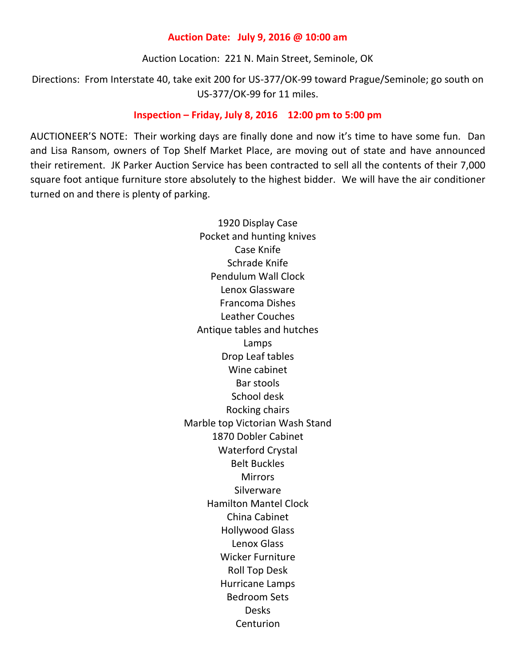## **Auction Date: July 9, 2016 @ 10:00 am**

Auction Location: 221 N. Main Street, Seminole, OK

Directions: From Interstate 40, take exit 200 for US-377/OK-99 toward Prague/Seminole; go south on US-377/OK-99 for 11 miles.

## **Inspection – Friday, July 8, 2016 12:00 pm to 5:00 pm**

AUCTIONEER'S NOTE: Their working days are finally done and now it's time to have some fun. Dan and Lisa Ransom, owners of Top Shelf Market Place, are moving out of state and have announced their retirement. JK Parker Auction Service has been contracted to sell all the contents of their 7,000 square foot antique furniture store absolutely to the highest bidder. We will have the air conditioner turned on and there is plenty of parking.

> 1920 Display Case Pocket and hunting knives Case Knife Schrade Knife Pendulum Wall Clock Lenox Glassware Francoma Dishes Leather Couches Antique tables and hutches Lamps Drop Leaf tables Wine cabinet Bar stools School desk Rocking chairs Marble top Victorian Wash Stand 1870 Dobler Cabinet Waterford Crystal Belt Buckles **Mirrors Silverware** Hamilton Mantel Clock China Cabinet Hollywood Glass Lenox Glass Wicker Furniture Roll Top Desk Hurricane Lamps Bedroom Sets Desks Centurion